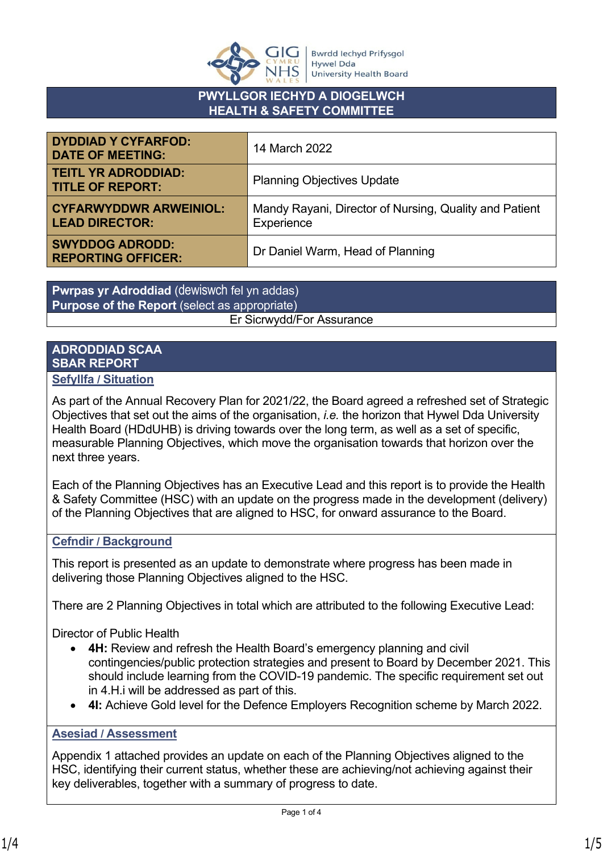

### **PWYLLGOR IECHYD A DIOGELWCH HEALTH & SAFETY COMMITTEE**

| <b>DYDDIAD Y CYFARFOD:</b><br><b>DATE OF MEETING:</b>  | 14 March 2022                                                        |  |
|--------------------------------------------------------|----------------------------------------------------------------------|--|
| <b>TEITL YR ADRODDIAD:</b><br><b>TITLE OF REPORT:</b>  | <b>Planning Objectives Update</b>                                    |  |
| <b>CYFARWYDDWR ARWEINIOL:</b><br><b>LEAD DIRECTOR:</b> | Mandy Rayani, Director of Nursing, Quality and Patient<br>Experience |  |
| <b>SWYDDOG ADRODD:</b><br><b>REPORTING OFFICER:</b>    | Dr Daniel Warm, Head of Planning                                     |  |

**Pwrpas yr Adroddiad** (dewiswch fel yn addas) **Purpose of the Report** (select as appropriate) Er Sicrwydd/For Assurance

#### **ADRODDIAD SCAA SBAR REPORT Sefyllfa / Situation**

#### As part of the Annual Recovery Plan for 2021/22, the Board agreed a refreshed set of Strategic Objectives that set out the aims of the organisation, *i.e.* the horizon that Hywel Dda University Health Board (HDdUHB) is driving towards over the long term, as well as a set of specific, measurable Planning Objectives, which move the organisation towards that horizon over the next three years.

Each of the Planning Objectives has an Executive Lead and this report is to provide the Health & Safety Committee (HSC) with an update on the progress made in the development (delivery) of the Planning Objectives that are aligned to HSC, for onward assurance to the Board.

### **Cefndir / Background**

This report is presented as an update to demonstrate where progress has been made in delivering those Planning Objectives aligned to the HSC.

There are 2 Planning Objectives in total which are attributed to the following Executive Lead:

Director of Public Health

- **4H:** Review and refresh the Health Board's emergency planning and civil contingencies/public protection strategies and present to Board by December 2021. This should include learning from the COVID-19 pandemic. The specific requirement set out in 4.H.i will be addressed as part of this.
- **4I:** Achieve Gold level for the Defence Employers Recognition scheme by March 2022.

## **Asesiad / Assessment**

Appendix 1 attached provides an update on each of the Planning Objectives aligned to the HSC, identifying their current status, whether these are achieving/not achieving against their key deliverables, together with a summary of progress to date.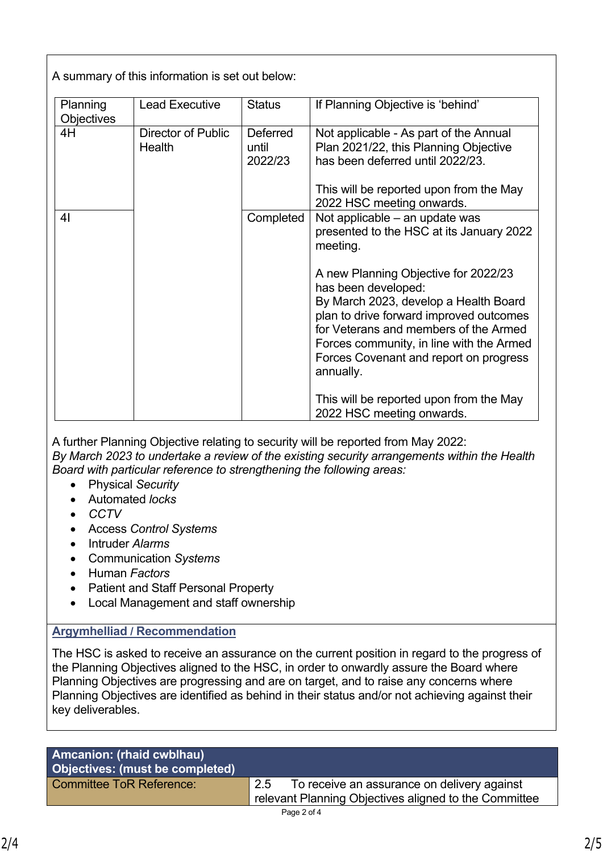A summary of this information is set out below:

| Planning<br><b>Objectives</b> | <b>Lead Executive</b>        | <b>Status</b>                       | If Planning Objective is 'behind'                                                                                                                                                                                                         |
|-------------------------------|------------------------------|-------------------------------------|-------------------------------------------------------------------------------------------------------------------------------------------------------------------------------------------------------------------------------------------|
| 4H                            | Director of Public<br>Health | <b>Deferred</b><br>until<br>2022/23 | Not applicable - As part of the Annual<br>Plan 2021/22, this Planning Objective<br>has been deferred until 2022/23.<br>This will be reported upon from the May<br>2022 HSC meeting onwards.                                               |
| 4 <sub>l</sub>                |                              | Completed                           | Not applicable – an update was<br>presented to the HSC at its January 2022<br>meeting.<br>A new Planning Objective for 2022/23<br>has been developed:<br>By March 2023, develop a Health Board<br>plan to drive forward improved outcomes |
|                               |                              |                                     | for Veterans and members of the Armed<br>Forces community, in line with the Armed<br>Forces Covenant and report on progress<br>annually.<br>This will be reported upon from the May<br>2022 HSC meeting onwards.                          |

A further Planning Objective relating to security will be reported from May 2022: *By March 2023 to undertake a review of the existing security arrangements within the Health Board with particular reference to strengthening the following areas:*

- Physical *Security*
- Automated *locks*
- *CCTV*
- Access *Control Systems*
- Intruder *Alarms*
- Communication *Systems*
- Human *Factors*
- Patient and Staff Personal Property
- Local Management and staff ownership

# **Argymhelliad / Recommendation**

The HSC is asked to receive an assurance on the current position in regard to the progress of the Planning Objectives aligned to the HSC, in order to onwardly assure the Board where Planning Objectives are progressing and are on target, and to raise any concerns where Planning Objectives are identified as behind in their status and/or not achieving against their key deliverables.

| <b>Amcanion: (rhaid cwblhau)</b><br>Objectives: (must be completed) |     |                                                                                                      |
|---------------------------------------------------------------------|-----|------------------------------------------------------------------------------------------------------|
| Committee ToR Reference:                                            | 2.5 | To receive an assurance on delivery against<br>relevant Planning Objectives aligned to the Committee |
|                                                                     |     |                                                                                                      |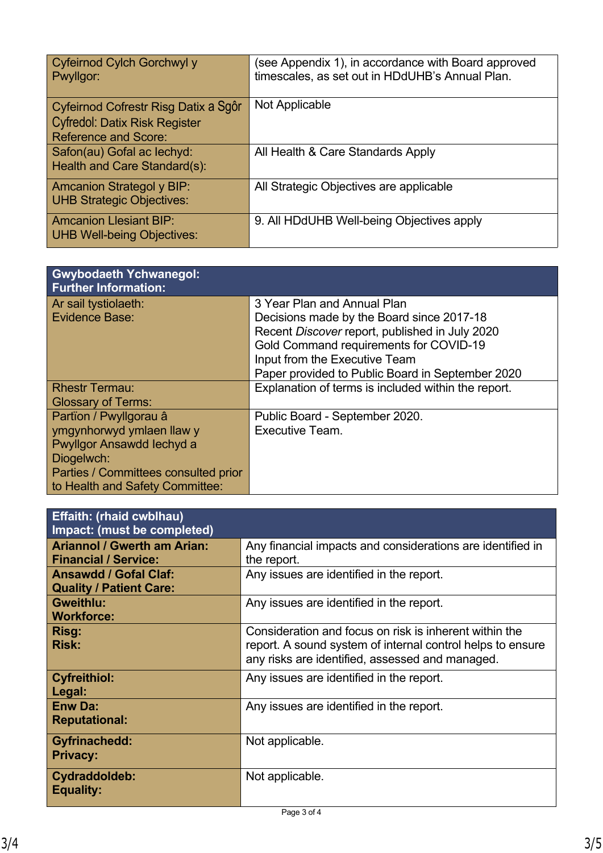| Cyfeirnod Cylch Gorchwyl y<br>Pwyllgor:                                                                     | (see Appendix 1), in accordance with Board approved<br>timescales, as set out in HDdUHB's Annual Plan. |
|-------------------------------------------------------------------------------------------------------------|--------------------------------------------------------------------------------------------------------|
| Cyfeirnod Cofrestr Risg Datix a Sgôr<br><b>Cyfredol: Datix Risk Register</b><br><b>Reference and Score:</b> | Not Applicable                                                                                         |
| Safon(au) Gofal ac lechyd:<br>Health and Care Standard(s):                                                  | All Health & Care Standards Apply                                                                      |
| <b>Amcanion Strategol y BIP:</b><br><b>UHB Strategic Objectives:</b>                                        | All Strategic Objectives are applicable                                                                |
| <b>Amcanion Llesiant BIP:</b><br><b>UHB Well-being Objectives:</b>                                          | 9. All HDdUHB Well-being Objectives apply                                                              |
|                                                                                                             |                                                                                                        |

| <b>Gwybodaeth Ychwanegol:</b><br><b>Further Information:</b> |                                                                                          |
|--------------------------------------------------------------|------------------------------------------------------------------------------------------|
| Ar sail tystiolaeth:                                         | 3 Year Plan and Annual Plan                                                              |
| Evidence Base:                                               | Decisions made by the Board since 2017-18                                                |
|                                                              | Recent Discover report, published in July 2020<br>Gold Command requirements for COVID-19 |
|                                                              | Input from the Executive Team                                                            |
|                                                              | Paper provided to Public Board in September 2020                                         |
| <b>Rhestr Termau:</b>                                        | Explanation of terms is included within the report.                                      |
| <b>Glossary of Terms:</b>                                    |                                                                                          |
| Partïon / Pwyllgorau â                                       | Public Board - September 2020.                                                           |
| ymgynhorwyd ymlaen llaw y                                    | Executive Team.                                                                          |
| Pwyllgor Ansawdd Iechyd a                                    |                                                                                          |
| Diogelwch:                                                   |                                                                                          |
| Parties / Committees consulted prior                         |                                                                                          |
| to Health and Safety Committee:                              |                                                                                          |

| <b>Effaith: (rhaid cwblhau)</b><br>Impact: (must be completed) |                                                                                                               |
|----------------------------------------------------------------|---------------------------------------------------------------------------------------------------------------|
| <b>Ariannol / Gwerth am Arian:</b>                             | Any financial impacts and considerations are identified in                                                    |
| <b>Financial / Service:</b><br><b>Ansawdd / Gofal Claf:</b>    | the report.<br>Any issues are identified in the report.                                                       |
| <b>Quality / Patient Care:</b>                                 |                                                                                                               |
| <b>Gweithlu:</b>                                               | Any issues are identified in the report.                                                                      |
| <b>Workforce:</b>                                              |                                                                                                               |
| Risg:                                                          | Consideration and focus on risk is inherent within the                                                        |
| <b>Risk:</b>                                                   | report. A sound system of internal control helps to ensure<br>any risks are identified, assessed and managed. |
| <b>Cyfreithiol:</b>                                            | Any issues are identified in the report.                                                                      |
| Legal:                                                         |                                                                                                               |
| <b>Enw Da:</b>                                                 | Any issues are identified in the report.                                                                      |
| <b>Reputational:</b>                                           |                                                                                                               |
| <b>Gyfrinachedd:</b>                                           | Not applicable.                                                                                               |
| <b>Privacy:</b>                                                |                                                                                                               |
| Cydraddoldeb:<br><b>Equality:</b>                              | Not applicable.                                                                                               |